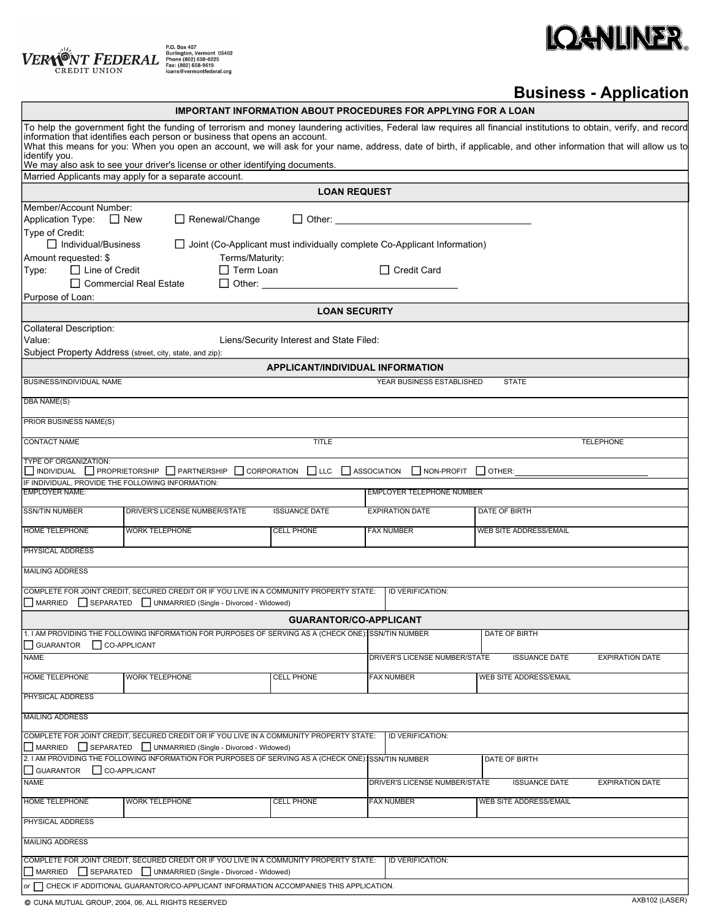

|                        | P.C      |
|------------------------|----------|
| <b>VERNONT FEDERAL</b> | Bu<br>Ph |
|                        | Fa:      |
| CREDIT UNION           | loa      |

O. Box 407<br>urlington, Vermont 05402<br>none (802) 658-0225<br>xx: (802) 658-9619<br>ans @vermontfederal.org

## **Business - Application**

|                                                                                                               |                                                                                                                                                       |                                          | <b>IMPORTANT INFORMATION ABOUT PROCEDURES FOR APPLYING FOR A LOAN</b> |                                                                                                                                                                                                                                                                                                                                                                                                       |  |  |  |  |  |
|---------------------------------------------------------------------------------------------------------------|-------------------------------------------------------------------------------------------------------------------------------------------------------|------------------------------------------|-----------------------------------------------------------------------|-------------------------------------------------------------------------------------------------------------------------------------------------------------------------------------------------------------------------------------------------------------------------------------------------------------------------------------------------------------------------------------------------------|--|--|--|--|--|
| identify you.                                                                                                 |                                                                                                                                                       |                                          |                                                                       | To help the government fight the funding of terrorism and money laundering activities, Federal law requires all financial institutions to obtain, verify, and record<br> information that identifies each person or business that<br>What this means for you: When you open an account, we will ask for your name, address, date of birth, if applicable, and other information that will allow us to |  |  |  |  |  |
|                                                                                                               | We may also ask to see your driver's license or other identifying documents.<br>Married Applicants may apply for a separate account.                  |                                          |                                                                       |                                                                                                                                                                                                                                                                                                                                                                                                       |  |  |  |  |  |
|                                                                                                               |                                                                                                                                                       | <b>LOAN REQUEST</b>                      |                                                                       |                                                                                                                                                                                                                                                                                                                                                                                                       |  |  |  |  |  |
| Member/Account Number:                                                                                        |                                                                                                                                                       |                                          |                                                                       |                                                                                                                                                                                                                                                                                                                                                                                                       |  |  |  |  |  |
| Application Type:<br>Type of Credit:                                                                          | Renewal/Change<br>$\Box$ New                                                                                                                          | $\Box$ Other: $\_\_\_\_\_\_\_\_\$        |                                                                       |                                                                                                                                                                                                                                                                                                                                                                                                       |  |  |  |  |  |
| $\Box$ Individual/Business<br>$\Box$ Joint (Co-Applicant must individually complete Co-Applicant Information) |                                                                                                                                                       |                                          |                                                                       |                                                                                                                                                                                                                                                                                                                                                                                                       |  |  |  |  |  |
| Type:                                                                                                         | Amount requested: \$<br>Terms/Maturity:<br>$\Box$ Term Loan<br>$\Box$ Credit Card<br>$\Box$ Line of Credit<br>$\Box$ Commercial Real Estate           |                                          |                                                                       |                                                                                                                                                                                                                                                                                                                                                                                                       |  |  |  |  |  |
| Purpose of Loan:                                                                                              |                                                                                                                                                       |                                          |                                                                       |                                                                                                                                                                                                                                                                                                                                                                                                       |  |  |  |  |  |
|                                                                                                               |                                                                                                                                                       | <b>LOAN SECURITY</b>                     |                                                                       |                                                                                                                                                                                                                                                                                                                                                                                                       |  |  |  |  |  |
| Collateral Description:<br>Value:                                                                             |                                                                                                                                                       | Liens/Security Interest and State Filed: |                                                                       |                                                                                                                                                                                                                                                                                                                                                                                                       |  |  |  |  |  |
| Subject Property Address (street, city, state, and zip):                                                      |                                                                                                                                                       | <b>APPLICANT/INDIVIDUAL INFORMATION</b>  |                                                                       |                                                                                                                                                                                                                                                                                                                                                                                                       |  |  |  |  |  |
| <b>BUSINESS/INDIVIDUAL NAME</b>                                                                               |                                                                                                                                                       |                                          | YEAR BUSINESS ESTABLISHED                                             | <b>STATE</b>                                                                                                                                                                                                                                                                                                                                                                                          |  |  |  |  |  |
| DBA NAME(S)                                                                                                   |                                                                                                                                                       |                                          |                                                                       |                                                                                                                                                                                                                                                                                                                                                                                                       |  |  |  |  |  |
| PRIOR BUSINESS NAME(S)                                                                                        |                                                                                                                                                       |                                          |                                                                       |                                                                                                                                                                                                                                                                                                                                                                                                       |  |  |  |  |  |
| <b>CONTACT NAME</b>                                                                                           |                                                                                                                                                       | <b>TITLE</b>                             |                                                                       | <b>TELEPHONE</b>                                                                                                                                                                                                                                                                                                                                                                                      |  |  |  |  |  |
| TYPE OF ORGANIZATION:                                                                                         | INDIVIDUAL PROPRIETORSHIP PARTNERSHIP<br><b>CORPORATION</b>                                                                                           | $\Box$ LLC                               | ASSOCIATION<br>NON-PROFIT                                             | $\vert$ $\vert$ OTHER:                                                                                                                                                                                                                                                                                                                                                                                |  |  |  |  |  |
| IF INDIVIDUAL, PROVIDE THE FOLLOWING INFORMATION:<br><b>EMPLOYER NAME:</b>                                    |                                                                                                                                                       |                                          | <b>EMPLOYER TELEPHONE NUMBER</b>                                      |                                                                                                                                                                                                                                                                                                                                                                                                       |  |  |  |  |  |
| <b>SSN/TIN NUMBER</b>                                                                                         | DRIVER'S LICENSE NUMBER/STATE                                                                                                                         | <b>ISSUANCE DATE</b>                     | <b>EXPIRATION DATE</b>                                                | DATE OF BIRTH                                                                                                                                                                                                                                                                                                                                                                                         |  |  |  |  |  |
|                                                                                                               |                                                                                                                                                       |                                          |                                                                       |                                                                                                                                                                                                                                                                                                                                                                                                       |  |  |  |  |  |
| <b>HOME TELEPHONE</b>                                                                                         | <b>WORK TELEPHONE</b>                                                                                                                                 | <b>CELL PHONE</b>                        | <b>FAX NUMBER</b>                                                     | <b>WEB SITE ADDRESS/EMAIL</b>                                                                                                                                                                                                                                                                                                                                                                         |  |  |  |  |  |
| PHYSICAL ADDRESS                                                                                              |                                                                                                                                                       |                                          |                                                                       |                                                                                                                                                                                                                                                                                                                                                                                                       |  |  |  |  |  |
| <b>MAILING ADDRESS</b>                                                                                        |                                                                                                                                                       |                                          |                                                                       |                                                                                                                                                                                                                                                                                                                                                                                                       |  |  |  |  |  |
| I MARRIED                                                                                                     | COMPLETE FOR JOINT CREDIT, SECURED CREDIT OR IF YOU LIVE IN A COMMUNITY PROPERTY STATE:<br>SEPARATED UNMARRIED (Single - Divorced - Widowed)          |                                          | <b>ID VERIFICATION:</b>                                               |                                                                                                                                                                                                                                                                                                                                                                                                       |  |  |  |  |  |
|                                                                                                               |                                                                                                                                                       | <b>GUARANTOR/CO-APPLICANT</b>            |                                                                       |                                                                                                                                                                                                                                                                                                                                                                                                       |  |  |  |  |  |
| GUARANTOR<br>CO-APPLICANT                                                                                     | 1. I AM PROVIDING THE FOLLOWING INFORMATION FOR PURPOSES OF SERVING AS A (CHECK ONE): SSN/TIN NUMBER                                                  |                                          |                                                                       | DATE OF BIRTH                                                                                                                                                                                                                                                                                                                                                                                         |  |  |  |  |  |
| <b>NAME</b>                                                                                                   |                                                                                                                                                       |                                          | DRIVER'S LICENSE NUMBER/STATE                                         | <b>ISSUANCE DATE</b><br><b>EXPIRATION DATE</b>                                                                                                                                                                                                                                                                                                                                                        |  |  |  |  |  |
| <b>HOME TELEPHONE</b>                                                                                         | <b>WORK TELEPHONE</b>                                                                                                                                 | <b>CELL PHONE</b>                        | <b>FAX NUMBER</b>                                                     | WEB SITE ADDRESS/EMAIL                                                                                                                                                                                                                                                                                                                                                                                |  |  |  |  |  |
| PHYSICAL ADDRESS                                                                                              |                                                                                                                                                       |                                          |                                                                       |                                                                                                                                                                                                                                                                                                                                                                                                       |  |  |  |  |  |
| <b>MAILING ADDRESS</b>                                                                                        |                                                                                                                                                       |                                          |                                                                       |                                                                                                                                                                                                                                                                                                                                                                                                       |  |  |  |  |  |
|                                                                                                               | COMPLETE FOR JOINT CREDIT, SECURED CREDIT OR IF YOU LIVE IN A COMMUNITY PROPERTY STATE:<br>MARRIED SEPARATED JUNMARRIED (Single - Divorced - Widowed) |                                          | <b>ID VERIFICATION:</b>                                               |                                                                                                                                                                                                                                                                                                                                                                                                       |  |  |  |  |  |
| CO-APPLICANT<br>GUARANTOR                                                                                     | 2. I AM PROVIDING THE FOLLOWING INFORMATION FOR PURPOSES OF SERVING AS A (CHECK ONE). SSN/TIN NUMBER                                                  |                                          |                                                                       | <b>DATE OF BIRTH</b>                                                                                                                                                                                                                                                                                                                                                                                  |  |  |  |  |  |
| <b>NAME</b>                                                                                                   |                                                                                                                                                       |                                          | DRIVER'S LICENSE NUMBER/STATE                                         | <b>ISSUANCE DATE</b><br><b>EXPIRATION DATE</b>                                                                                                                                                                                                                                                                                                                                                        |  |  |  |  |  |
| <b>HOME TELEPHONE</b>                                                                                         | <b>WORK TELEPHONE</b>                                                                                                                                 | <b>CELL PHONE</b>                        | <b>FAX NUMBER</b>                                                     | WEB SITE ADDRESS/EMAIL                                                                                                                                                                                                                                                                                                                                                                                |  |  |  |  |  |
| PHYSICAL ADDRESS                                                                                              |                                                                                                                                                       |                                          |                                                                       |                                                                                                                                                                                                                                                                                                                                                                                                       |  |  |  |  |  |
| <b>MAILING ADDRESS</b>                                                                                        |                                                                                                                                                       |                                          |                                                                       |                                                                                                                                                                                                                                                                                                                                                                                                       |  |  |  |  |  |
|                                                                                                               | COMPLETE FOR JOINT CREDIT, SECURED CREDIT OR IF YOU LIVE IN A COMMUNITY PROPERTY STATE:<br>MARRIED SEPARATED UNMARRIED (Single - Divorced - Widowed)  |                                          | <b>ID VERIFICATION:</b>                                               |                                                                                                                                                                                                                                                                                                                                                                                                       |  |  |  |  |  |
| OF CHECK IF ADDITIONAL GUARANTOR/CO-APPLICANT INFORMATION ACCOMPANIES THIS APPLICATION.                       |                                                                                                                                                       |                                          |                                                                       |                                                                                                                                                                                                                                                                                                                                                                                                       |  |  |  |  |  |
|                                                                                                               | C CUNA MUTUAL GROUP, 2004, 06, ALL RIGHTS RESERVED                                                                                                    |                                          |                                                                       | AXB102 (LASER)                                                                                                                                                                                                                                                                                                                                                                                        |  |  |  |  |  |